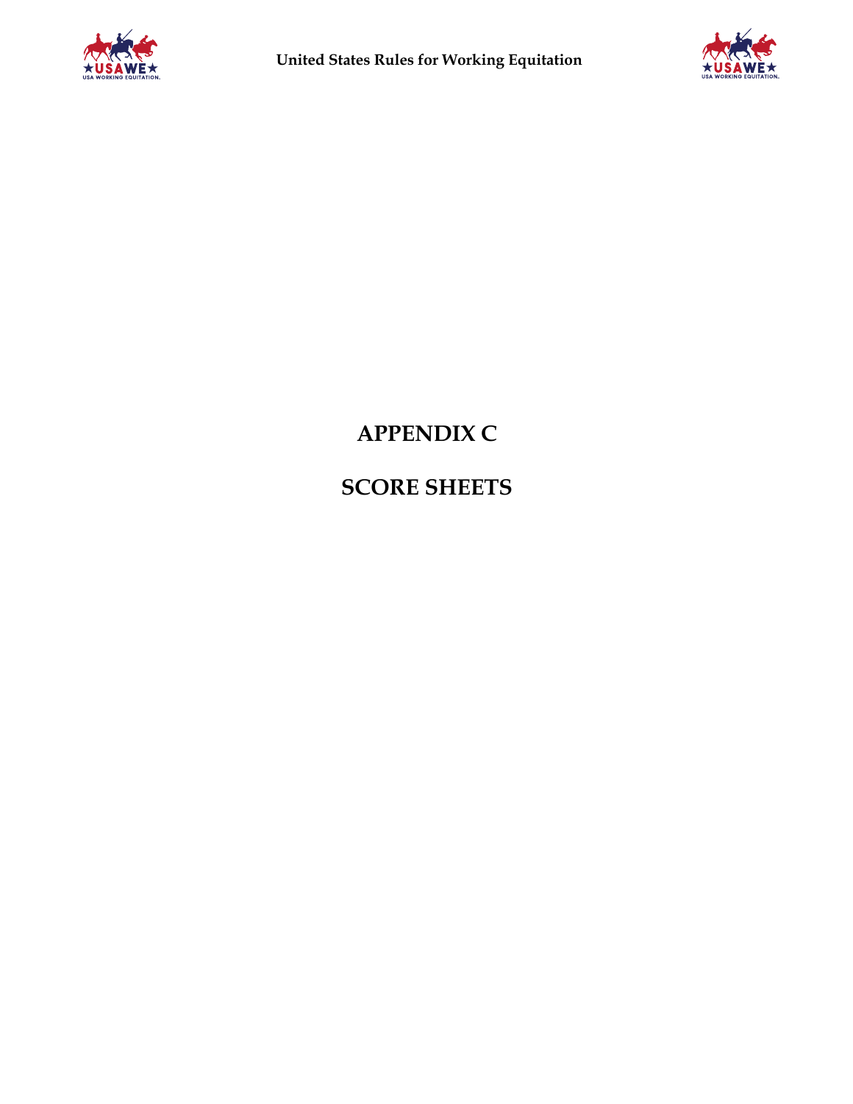



# **APPENDIX C**

**SCORE SHEETS**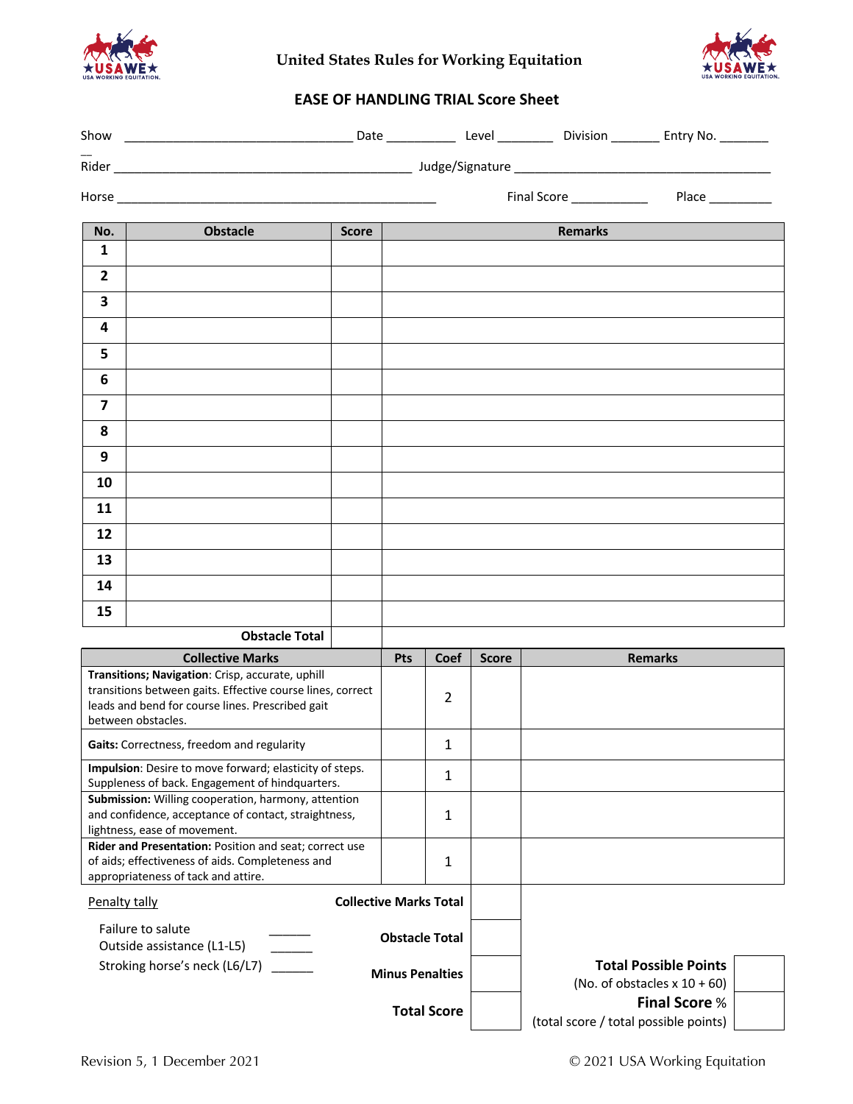

**United States Rules for Working Equitation**



# **EASE OF HANDLING TRIAL Score Sheet**

| Show                    | <u> 2000 - Johann Barnett, fransk politiker (d. 18</u>                                                                                                                                   |                               |                        |                    |              | Date _______________ Level _____________ Division ___________ Entry No. _________ |  |
|-------------------------|------------------------------------------------------------------------------------------------------------------------------------------------------------------------------------------|-------------------------------|------------------------|--------------------|--------------|-----------------------------------------------------------------------------------|--|
|                         |                                                                                                                                                                                          |                               |                        |                    |              |                                                                                   |  |
|                         |                                                                                                                                                                                          |                               |                        |                    |              |                                                                                   |  |
| No.                     | <b>Obstacle</b>                                                                                                                                                                          | <b>Score</b>                  |                        |                    |              | <b>Remarks</b>                                                                    |  |
| $\mathbf{1}$            |                                                                                                                                                                                          |                               |                        |                    |              |                                                                                   |  |
| $\overline{2}$          |                                                                                                                                                                                          |                               |                        |                    |              |                                                                                   |  |
| $\overline{\mathbf{3}}$ |                                                                                                                                                                                          |                               |                        |                    |              |                                                                                   |  |
| 4                       |                                                                                                                                                                                          |                               |                        |                    |              |                                                                                   |  |
| 5                       |                                                                                                                                                                                          |                               |                        |                    |              |                                                                                   |  |
| 6                       |                                                                                                                                                                                          |                               |                        |                    |              |                                                                                   |  |
| $\overline{\mathbf{z}}$ |                                                                                                                                                                                          |                               |                        |                    |              |                                                                                   |  |
| 8                       |                                                                                                                                                                                          |                               |                        |                    |              |                                                                                   |  |
| 9                       |                                                                                                                                                                                          |                               |                        |                    |              |                                                                                   |  |
| 10                      |                                                                                                                                                                                          |                               |                        |                    |              |                                                                                   |  |
| 11                      |                                                                                                                                                                                          |                               |                        |                    |              |                                                                                   |  |
| 12                      |                                                                                                                                                                                          |                               |                        |                    |              |                                                                                   |  |
| 13                      |                                                                                                                                                                                          |                               |                        |                    |              |                                                                                   |  |
| 14                      |                                                                                                                                                                                          |                               |                        |                    |              |                                                                                   |  |
| 15                      |                                                                                                                                                                                          |                               |                        |                    |              |                                                                                   |  |
|                         | <b>Obstacle Total</b>                                                                                                                                                                    |                               |                        |                    |              |                                                                                   |  |
|                         | <b>Collective Marks</b>                                                                                                                                                                  |                               | <b>Pts</b>             | <b>Coef</b>        | <b>Score</b> | <b>Remarks</b>                                                                    |  |
|                         | Transitions; Navigation: Crisp, accurate, uphill<br>transitions between gaits. Effective course lines, correct<br>leads and bend for course lines. Prescribed gait<br>between obstacles. |                               |                        | 2                  |              |                                                                                   |  |
|                         | Gaits: Correctness, freedom and regularity                                                                                                                                               |                               |                        | $\mathbf{1}$       |              |                                                                                   |  |
|                         | Impulsion: Desire to move forward; elasticity of steps.<br>Suppleness of back. Engagement of hindquarters.                                                                               |                               |                        | 1                  |              |                                                                                   |  |
|                         | Submission: Willing cooperation, harmony, attention                                                                                                                                      |                               |                        |                    |              |                                                                                   |  |
|                         | and confidence, acceptance of contact, straightness,<br>lightness, ease of movement.                                                                                                     |                               |                        | 1                  |              |                                                                                   |  |
|                         | Rider and Presentation: Position and seat; correct use<br>of aids; effectiveness of aids. Completeness and                                                                               |                               |                        | 1                  |              |                                                                                   |  |
|                         | appropriateness of tack and attire.                                                                                                                                                      |                               |                        |                    |              |                                                                                   |  |
| Penalty tally           |                                                                                                                                                                                          | <b>Collective Marks Total</b> |                        |                    |              |                                                                                   |  |
|                         | Failure to salute<br>Outside assistance (L1-L5)                                                                                                                                          |                               | <b>Obstacle Total</b>  |                    |              |                                                                                   |  |
|                         | Stroking horse's neck (L6/L7)                                                                                                                                                            |                               | <b>Minus Penalties</b> |                    |              | <b>Total Possible Points</b><br>(No. of obstacles $x 10 + 60$ )                   |  |
|                         |                                                                                                                                                                                          |                               |                        | <b>Total Score</b> |              | <b>Final Score %</b><br>(total score / total possible points)                     |  |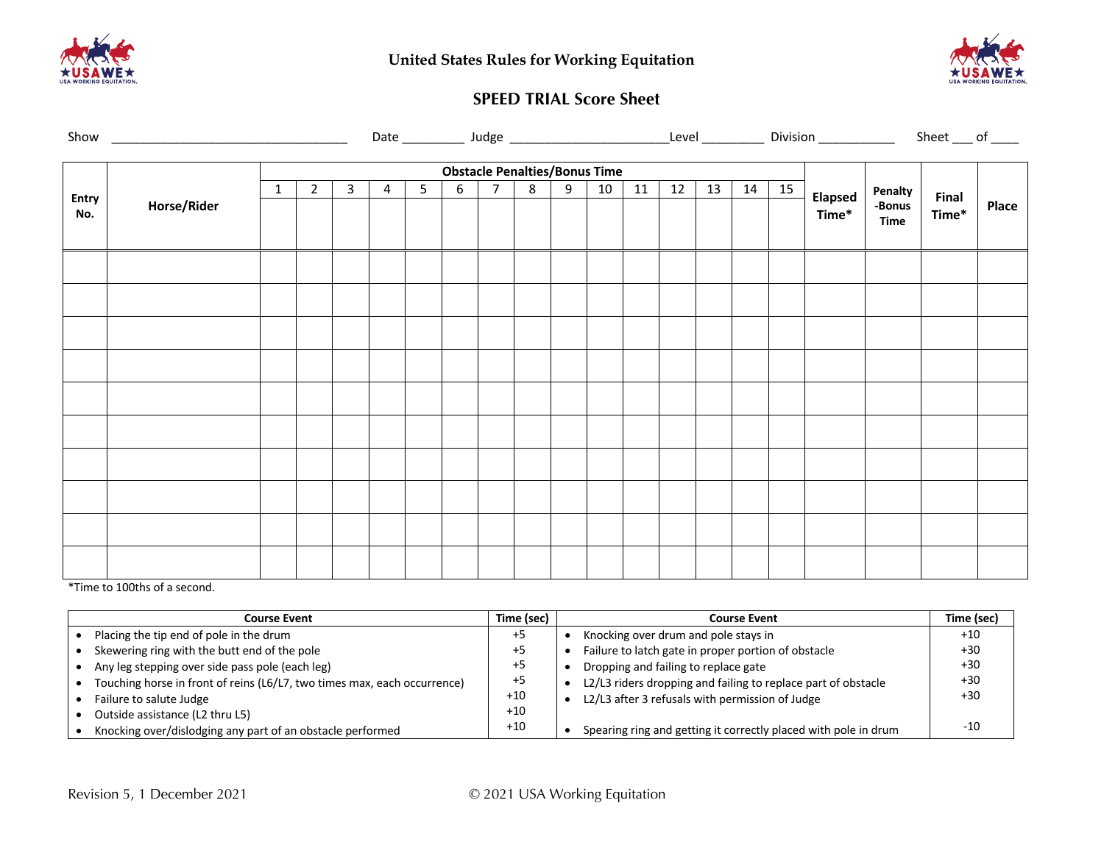



## **SPEED TRIAL Score Sheet**

|                     | Show <u>and the state of the state of the state of the state of the state of the state of the state of the state of the state of the state of the state of the state of the state of the state of the state of the state of the </u> |              |                |                |                |                |                |                 |   |                                           |    |    |    |    |    |    | Date _____________ Judge _____________________________Level ______________ Division ______________ |                       | Sheet $\_\$ of $\_\_$ |       |
|---------------------|--------------------------------------------------------------------------------------------------------------------------------------------------------------------------------------------------------------------------------------|--------------|----------------|----------------|----------------|----------------|----------------|-----------------|---|-------------------------------------------|----|----|----|----|----|----|----------------------------------------------------------------------------------------------------|-----------------------|-----------------------|-------|
|                     |                                                                                                                                                                                                                                      |              |                |                |                |                |                |                 |   |                                           |    |    |    |    |    |    |                                                                                                    |                       |                       |       |
|                     |                                                                                                                                                                                                                                      | $\mathbf{1}$ | $\overline{2}$ | $\overline{3}$ | $\overline{4}$ | 5 <sub>1</sub> | 6 <sup>1</sup> | $7\overline{ }$ | 8 | <b>Obstacle Penalties/Bonus Time</b><br>9 | 10 | 11 | 12 | 13 | 14 | 15 |                                                                                                    | Penalty               |                       |       |
| <b>Entry</b><br>No. | Horse/Rider                                                                                                                                                                                                                          |              |                |                |                |                |                |                 |   |                                           |    |    |    |    |    |    | <b>Elapsed</b><br>Time*                                                                            | -Bonus<br><b>Time</b> | Final<br>Time*        | Place |
|                     |                                                                                                                                                                                                                                      |              |                |                |                |                |                |                 |   |                                           |    |    |    |    |    |    |                                                                                                    |                       |                       |       |
|                     |                                                                                                                                                                                                                                      |              |                |                |                |                |                |                 |   |                                           |    |    |    |    |    |    |                                                                                                    |                       |                       |       |
|                     |                                                                                                                                                                                                                                      |              |                |                |                |                |                |                 |   |                                           |    |    |    |    |    |    |                                                                                                    |                       |                       |       |
|                     |                                                                                                                                                                                                                                      |              |                |                |                |                |                |                 |   |                                           |    |    |    |    |    |    |                                                                                                    |                       |                       |       |
|                     |                                                                                                                                                                                                                                      |              |                |                |                |                |                |                 |   |                                           |    |    |    |    |    |    |                                                                                                    |                       |                       |       |
|                     |                                                                                                                                                                                                                                      |              |                |                |                |                |                |                 |   |                                           |    |    |    |    |    |    |                                                                                                    |                       |                       |       |
|                     |                                                                                                                                                                                                                                      |              |                |                |                |                |                |                 |   |                                           |    |    |    |    |    |    |                                                                                                    |                       |                       |       |
|                     |                                                                                                                                                                                                                                      |              |                |                |                |                |                |                 |   |                                           |    |    |    |    |    |    |                                                                                                    |                       |                       |       |
|                     |                                                                                                                                                                                                                                      |              |                |                |                |                |                |                 |   |                                           |    |    |    |    |    |    |                                                                                                    |                       |                       |       |
|                     |                                                                                                                                                                                                                                      |              |                |                |                |                |                |                 |   |                                           |    |    |    |    |    |    |                                                                                                    |                       |                       |       |

\*Time to 100ths of a second.

| <b>Course Event</b>                                                      | Time (sec) | <b>Course Event</b>                                             | Time (sec) |
|--------------------------------------------------------------------------|------------|-----------------------------------------------------------------|------------|
| Placing the tip end of pole in the drum                                  | +5         | Knocking over drum and pole stays in                            | $+10$      |
| Skewering ring with the butt end of the pole                             | $+5$       | Failure to latch gate in proper portion of obstacle             | $+30$      |
| Any leg stepping over side pass pole (each leg)                          | $+5$       | Dropping and failing to replace gate                            | $+30$      |
| Touching horse in front of reins (L6/L7, two times max, each occurrence) | $+5$       | L2/L3 riders dropping and failing to replace part of obstacle   | $+30$      |
| Failure to salute Judge                                                  | $+10$      | L2/L3 after 3 refusals with permission of Judge                 | $+30$      |
| Outside assistance (L2 thru L5)                                          | $+10$      |                                                                 |            |
| Knocking over/dislodging any part of an obstacle performed               | $+10$      | Spearing ring and getting it correctly placed with pole in drum | $-10$      |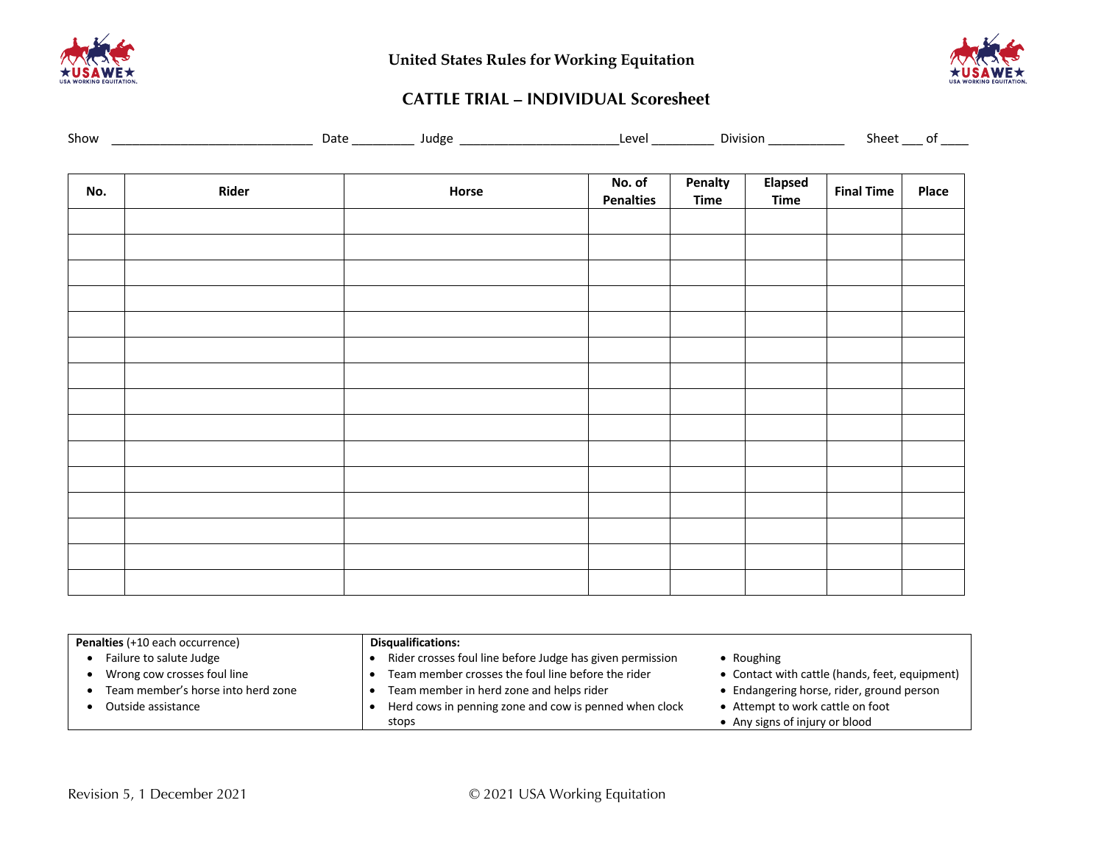



# **CATTLE TRIAL – INDIVIDUAL Scoresheet**

|  | Show |  | .<br>7711 | ۹σρ<br>''' | AYA | Jivision | `haat<br>ור |
|--|------|--|-----------|------------|-----|----------|-------------|
|--|------|--|-----------|------------|-----|----------|-------------|

| No. | Rider | Horse | No. of<br><b>Penalties</b> | Penalty<br><b>Time</b> | Elapsed<br>Time | <b>Final Time</b> | Place |
|-----|-------|-------|----------------------------|------------------------|-----------------|-------------------|-------|
|     |       |       |                            |                        |                 |                   |       |
|     |       |       |                            |                        |                 |                   |       |
|     |       |       |                            |                        |                 |                   |       |
|     |       |       |                            |                        |                 |                   |       |
|     |       |       |                            |                        |                 |                   |       |
|     |       |       |                            |                        |                 |                   |       |
|     |       |       |                            |                        |                 |                   |       |
|     |       |       |                            |                        |                 |                   |       |
|     |       |       |                            |                        |                 |                   |       |
|     |       |       |                            |                        |                 |                   |       |
|     |       |       |                            |                        |                 |                   |       |
|     |       |       |                            |                        |                 |                   |       |
|     |       |       |                            |                        |                 |                   |       |
|     |       |       |                            |                        |                 |                   |       |
|     |       |       |                            |                        |                 |                   |       |

| Penalties (+10 each occurrence)    | <b>Disqualifications:</b>                                 |                                                |
|------------------------------------|-----------------------------------------------------------|------------------------------------------------|
| Failure to salute Judge            | Rider crosses foul line before Judge has given permission | • Roughing                                     |
| Wrong cow crosses foul line        | Team member crosses the foul line before the rider        | • Contact with cattle (hands, feet, equipment) |
| Team member's horse into herd zone | Team member in herd zone and helps rider                  | • Endangering horse, rider, ground person      |
| Outside assistance                 | Herd cows in penning zone and cow is penned when clock    | • Attempt to work cattle on foot               |
|                                    | stops                                                     | • Any signs of injury or blood                 |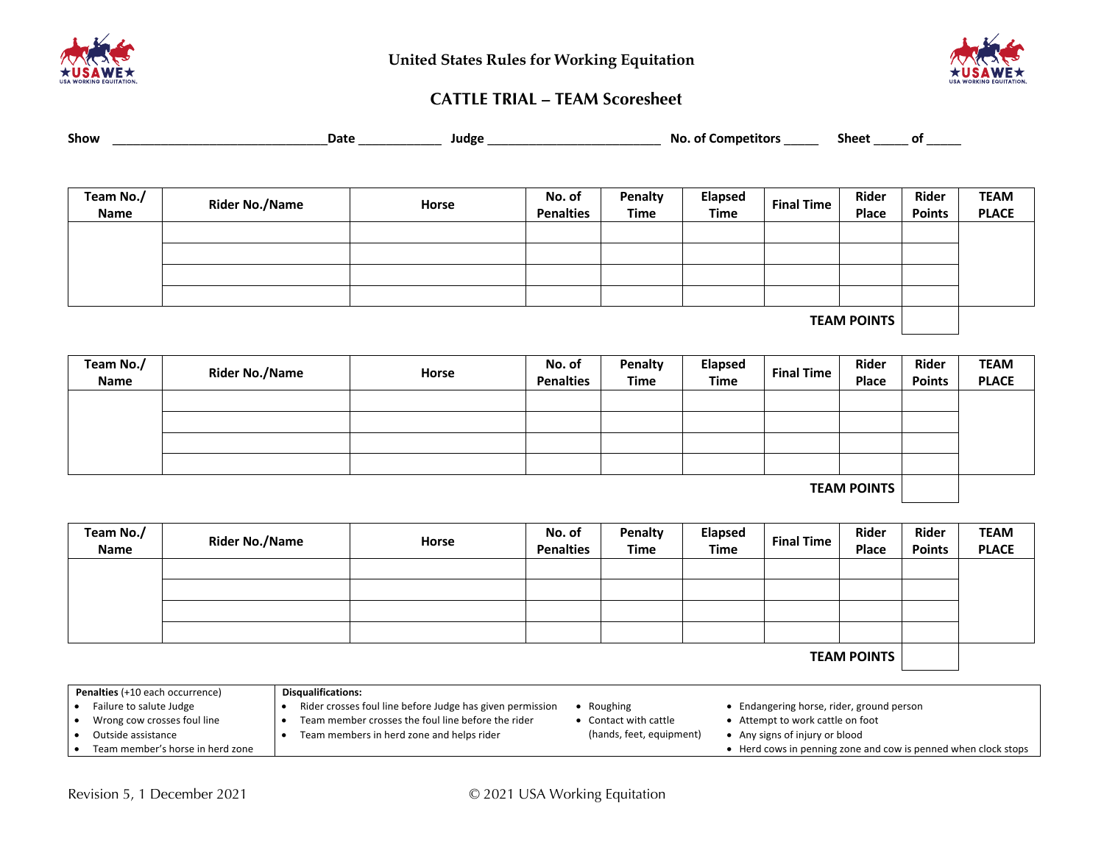



# **CATTLE TRIAL – TEAM Scoresheet**

| Show |  | Date | <b>Juagr</b> | NC. | sheet |  |
|------|--|------|--------------|-----|-------|--|
|------|--|------|--------------|-----|-------|--|

| Team No./<br>Name | <b>Rider No./Name</b> | Horse | No. of<br><b>Penalties</b> | Penalty<br><b>Time</b> | Elapsed<br><b>Time</b> | <b>Final Time</b> | Rider<br>Place | Rider<br><b>Points</b> | <b>TEAM</b><br><b>PLACE</b> |
|-------------------|-----------------------|-------|----------------------------|------------------------|------------------------|-------------------|----------------|------------------------|-----------------------------|
|                   |                       |       |                            |                        |                        |                   |                |                        |                             |
|                   |                       |       |                            |                        |                        |                   |                |                        |                             |
|                   |                       |       |                            |                        |                        |                   |                |                        |                             |
|                   |                       |       |                            |                        |                        |                   |                |                        |                             |
|                   |                       |       |                            |                        |                        |                   | ___________    |                        |                             |

**TEAM POINTS**

| <b>Rider No./Name</b> | Horse | No. of<br><b>Penalties</b> | Penalty<br>Time | Elapsed<br><b>Time</b> | <b>Final Time</b> | <b>Rider</b><br>Place | Rider<br><b>Points</b> | <b>TEAM</b><br><b>PLACE</b> |
|-----------------------|-------|----------------------------|-----------------|------------------------|-------------------|-----------------------|------------------------|-----------------------------|
|                       |       |                            |                 |                        |                   |                       |                        |                             |
|                       |       |                            |                 |                        |                   |                       |                        |                             |
|                       |       |                            |                 |                        |                   |                       |                        |                             |
|                       |       |                            |                 |                        |                   |                       |                        |                             |
|                       |       |                            |                 |                        |                   |                       |                        |                             |

**TEAM POINTS**

| Team No./<br>Name  | <b>Rider No./Name</b> | Horse | No. of<br><b>Penalties</b> | Penalty<br><b>Time</b> | Elapsed<br><b>Time</b> | <b>Final Time</b> | Rider<br>Place | Rider<br><b>Points</b> | <b>TEAM</b><br><b>PLACE</b> |
|--------------------|-----------------------|-------|----------------------------|------------------------|------------------------|-------------------|----------------|------------------------|-----------------------------|
|                    |                       |       |                            |                        |                        |                   |                |                        |                             |
|                    |                       |       |                            |                        |                        |                   |                |                        |                             |
|                    |                       |       |                            |                        |                        |                   |                |                        |                             |
|                    |                       |       |                            |                        |                        |                   |                |                        |                             |
| <b>TEAM POINTS</b> |                       |       |                            |                        |                        |                   |                |                        |                             |

| Penalties (+10 each occurrence)  | <b>Disqualifications:</b>                                                 |                                                                |
|----------------------------------|---------------------------------------------------------------------------|----------------------------------------------------------------|
| Failure to salute Judge          | Rider crosses foul line before Judge has given permission<br>Roughing     | • Endangering horse, rider, ground person                      |
| Wrong cow crosses foul line      | Team member crosses the foul line before the rider<br>Contact with cattle | • Attempt to work cattle on foot                               |
| Outside assistance               | (hands, feet, equipment)<br>Team members in herd zone and helps rider     | • Any signs of injury or blood                                 |
| Team member's horse in herd zone |                                                                           | • Herd cows in penning zone and cow is penned when clock stops |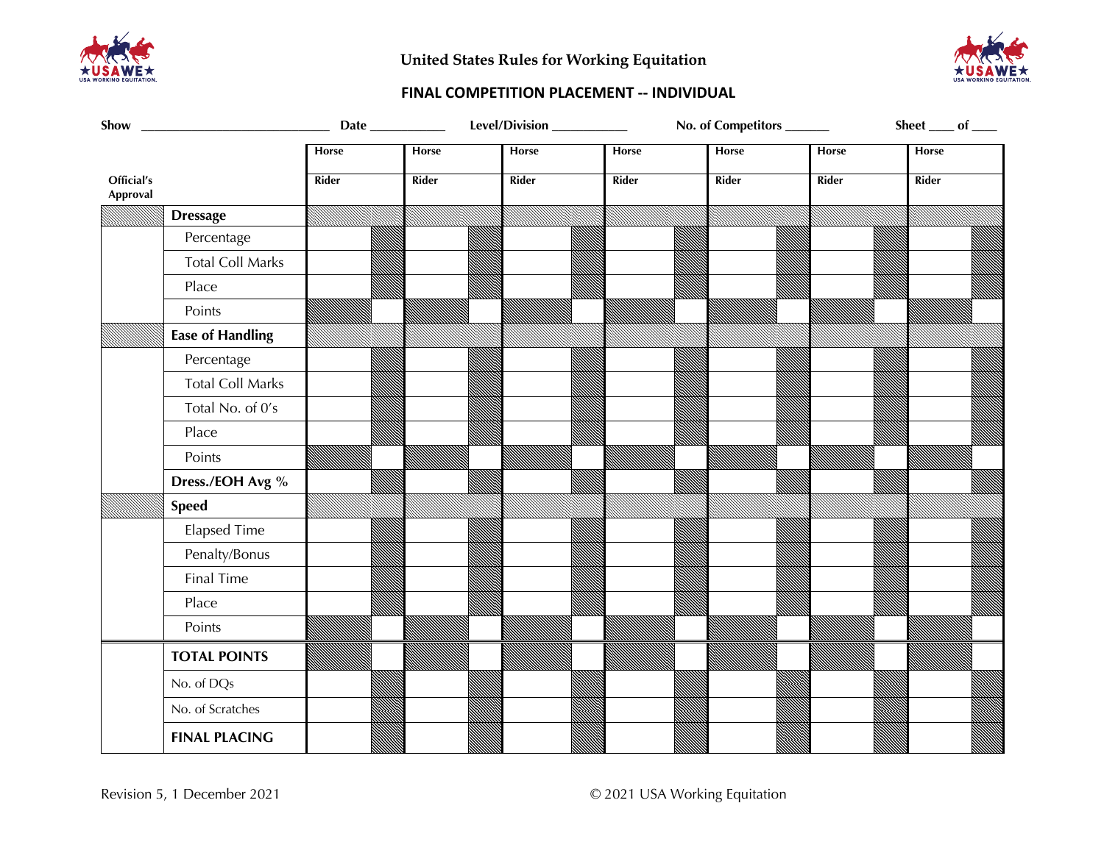

**United States Rules for Working Equitation**



## **FINAL COMPETITION PLACEMENT -- INDIVIDUAL**

| Show                   |                         |              |              | Level/Division___________ |              | No. of Competitors ______ |       | Sheet $\_\_$ of $\_\_$ |
|------------------------|-------------------------|--------------|--------------|---------------------------|--------------|---------------------------|-------|------------------------|
|                        |                         | Horse        | Horse        | Horse                     | Horse        | Horse                     | Horse | <b>Horse</b>           |
| Official's<br>Approval |                         | <b>Rider</b> | <b>Rider</b> | Rider                     | <b>Rider</b> | Rider                     | Rider | <b>Rider</b>           |
|                        | <b>Dressage</b>         |              |              |                           |              |                           |       |                        |
|                        | Percentage              |              |              |                           |              |                           |       |                        |
|                        | <b>Total Coll Marks</b> |              |              |                           |              |                           |       |                        |
|                        | Place                   |              |              |                           |              |                           |       |                        |
|                        | Points                  |              |              |                           |              |                           |       |                        |
|                        | <b>Ease of Handling</b> |              |              |                           |              |                           |       |                        |
|                        | Percentage              |              |              |                           |              |                           |       |                        |
|                        | <b>Total Coll Marks</b> |              |              |                           |              |                           |       |                        |
|                        | Total No. of 0's        |              |              |                           |              |                           |       |                        |
|                        | Place                   |              |              |                           |              |                           |       |                        |
|                        | Points                  |              |              |                           |              |                           |       |                        |
|                        | Dress./EOH Avg %        |              |              |                           |              |                           |       |                        |
|                        | <b>Speed</b>            |              |              |                           |              |                           |       |                        |
|                        | <b>Elapsed Time</b>     |              |              |                           |              |                           |       |                        |
|                        | Penalty/Bonus           |              |              |                           |              |                           |       |                        |
|                        | Final Time              |              |              |                           |              |                           |       |                        |
|                        | Place                   |              |              |                           |              |                           |       |                        |
|                        | Points                  |              |              |                           |              |                           |       |                        |
|                        | <b>TOTAL POINTS</b>     |              |              |                           |              |                           |       |                        |
|                        | No. of DQs              |              |              |                           |              |                           |       |                        |
|                        | No. of Scratches        |              |              |                           |              |                           |       |                        |
|                        | <b>FINAL PLACING</b>    |              |              |                           |              |                           |       |                        |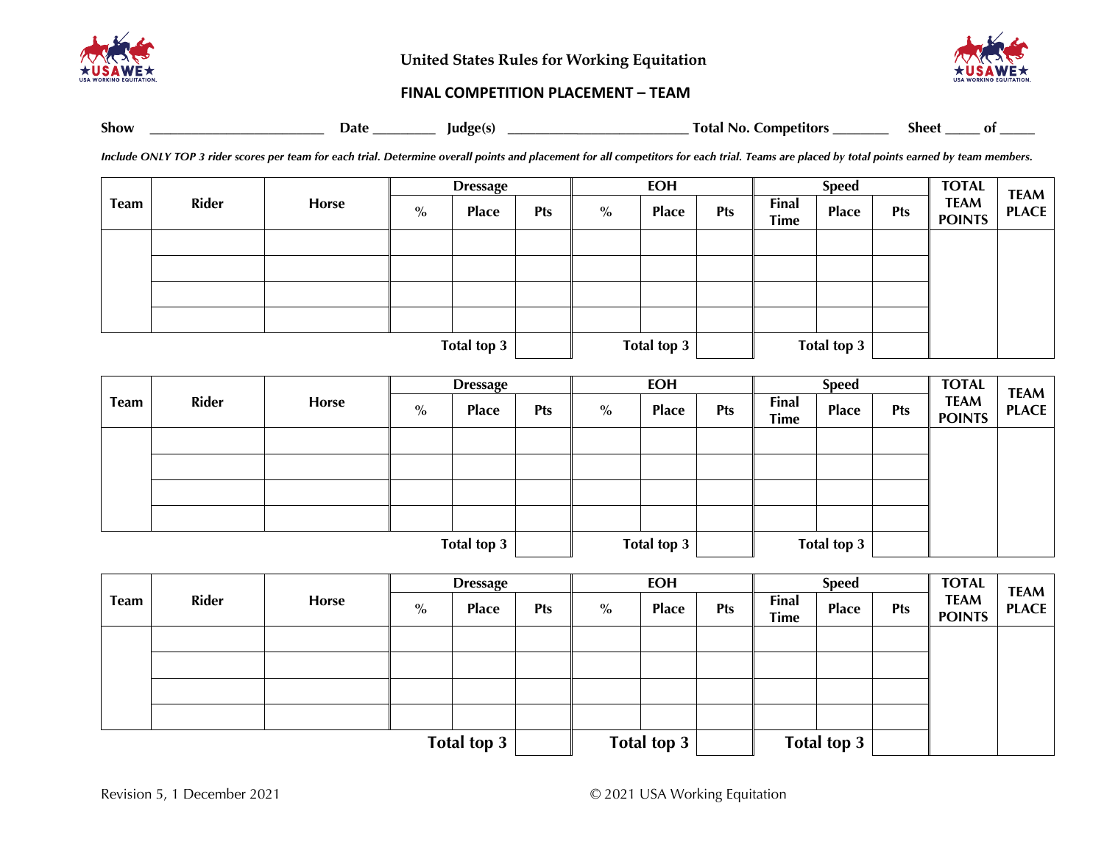

**United States Rules for Working Equitation**



#### **FINAL COMPETITION PLACEMENT – TEAM**

| <b>Show</b> | Date | ء اهي.<br>lud<br>. | otal<br>N <sub>0</sub> .<br>Lompetitor <sup>.</sup> | Sheet | Оl |
|-------------|------|--------------------|-----------------------------------------------------|-------|----|
|             |      |                    |                                                     |       |    |

*Include ONLY TOP 3 rider scores per team for each trial. Determine overall points and placement for all competitors for each trial. Teams are placed by total points earned by team members.*

|             | <b>Rider</b> | Horse | <b>Dressage</b> |              |            | <b>EOH</b> |              |            | <b>Speed</b>         |              |            | <b>TOTAL</b>                 | <b>TEAM</b>  |
|-------------|--------------|-------|-----------------|--------------|------------|------------|--------------|------------|----------------------|--------------|------------|------------------------------|--------------|
| <b>Team</b> |              |       | $\%$            | <b>Place</b> | <b>Pts</b> | $\%$       | <b>Place</b> | <b>Pts</b> | Final<br><b>Time</b> | <b>Place</b> | <b>Pts</b> | <b>TEAM</b><br><b>POINTS</b> | <b>PLACE</b> |
|             |              |       |                 |              |            |            |              |            |                      |              |            |                              |              |
|             |              |       |                 |              |            |            |              |            |                      |              |            |                              |              |
|             |              |       |                 |              |            |            |              |            |                      |              |            |                              |              |
|             |              |       |                 |              |            |            |              |            |                      |              |            |                              |              |
| Total top 3 |              |       |                 |              |            |            | Total top 3  |            |                      | Total top 3  |            |                              |              |

|             | <b>Rider</b> | <b>Horse</b> | <b>Dressage</b> |              |            | <b>EOH</b>  |              |            | <b>Speed</b>                |              |            | <b>TOTAL</b>                 | <b>TEAM</b>  |
|-------------|--------------|--------------|-----------------|--------------|------------|-------------|--------------|------------|-----------------------------|--------------|------------|------------------------------|--------------|
| <b>Team</b> |              |              | $\%$            | <b>Place</b> | <b>Pts</b> | $\%$        | <b>Place</b> | <b>Pts</b> | <b>Final</b><br><b>Time</b> | <b>Place</b> | <b>Pts</b> | <b>TEAM</b><br><b>POINTS</b> | <b>PLACE</b> |
|             |              |              |                 |              |            |             |              |            |                             |              |            |                              |              |
|             |              |              |                 |              |            |             |              |            |                             |              |            |                              |              |
|             |              |              |                 |              |            |             |              |            |                             |              |            |                              |              |
|             |              |              |                 |              |            |             |              |            |                             |              |            |                              |              |
|             |              |              |                 |              |            |             |              |            |                             |              |            |                              |              |
| Total top 3 |              |              |                 |              |            | Total top 3 |              |            | Total top 3                 |              |            |                              |              |

|      | <b>Rider</b> |       | <b>Dressage</b> |              |            | <b>EOH</b> |              |            |                             | <b>Speed</b> | <b>TOTAL</b> | <b>TEAM</b>                  |              |
|------|--------------|-------|-----------------|--------------|------------|------------|--------------|------------|-----------------------------|--------------|--------------|------------------------------|--------------|
| Team |              | Horse | $\%$            | <b>Place</b> | <b>Pts</b> | $\%$       | <b>Place</b> | <b>Pts</b> | <b>Final</b><br><b>Time</b> | <b>Place</b> | <b>Pts</b>   | <b>TEAM</b><br><b>POINTS</b> | <b>PLACE</b> |
|      |              |       |                 |              |            |            |              |            |                             |              |              |                              |              |
|      |              |       |                 |              |            |            |              |            |                             |              |              |                              |              |
|      |              |       |                 |              |            |            |              |            |                             |              |              |                              |              |
|      |              |       |                 |              |            |            |              |            |                             |              |              |                              |              |
|      |              |       |                 |              |            |            |              |            |                             |              |              |                              |              |
|      |              |       |                 | Total top 3  |            |            | Total top 3  |            |                             | Total top 3  |              |                              |              |